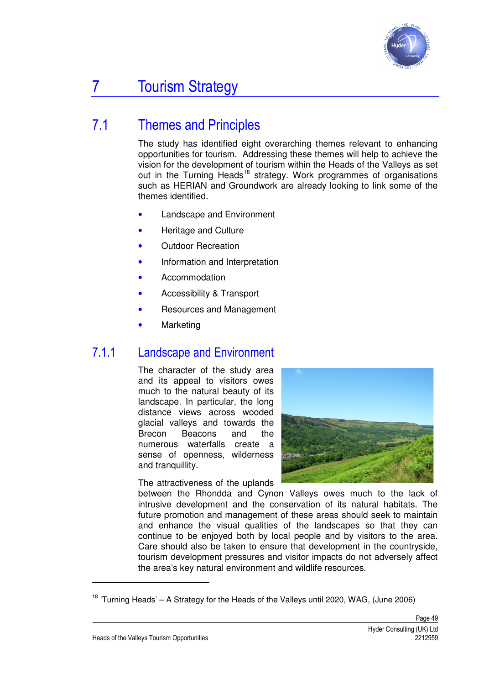

# 7 Tourism Strategy

## 7.1 Themes and Principles

The study has identified eight overarching themes relevant to enhancing opportunities for tourism. Addressing these themes will help to achieve the vision for the development of tourism within the Heads of the Valleys as set out in the Turning Heads<sup>18</sup> strategy. Work programmes of organisations such as HERIAN and Groundwork are already looking to link some of the themes identified.

- Landscape and Environment
- Heritage and Culture
- Outdoor Recreation
- Information and Interpretation
- Accommodation
- Accessibility & Transport
- Resources and Management
- **Marketing**

### 7.1.1 Landscape and Environment

The character of the study area and its appeal to visitors owes much to the natural beauty of its landscape. In particular, the long distance views across wooded glacial valleys and towards the Brecon Beacons and the numerous waterfalls create a sense of openness, wilderness and tranquillity.

The attractiveness of the uplands



between the Rhondda and Cynon Valleys owes much to the lack of intrusive development and the conservation of its natural habitats. The future promotion and management of these areas should seek to maintain and enhance the visual qualities of the landscapes so that they can continue to be enjoyed both by local people and by visitors to the area. Care should also be taken to ensure that development in the countryside, tourism development pressures and visitor impacts do not adversely affect the area's key natural environment and wildlife resources.

 $\overline{a}$ 

<sup>&</sup>lt;sup>18</sup> 'Turning Heads' – A Strategy for the Heads of the Valleys until 2020, WAG, (June 2006)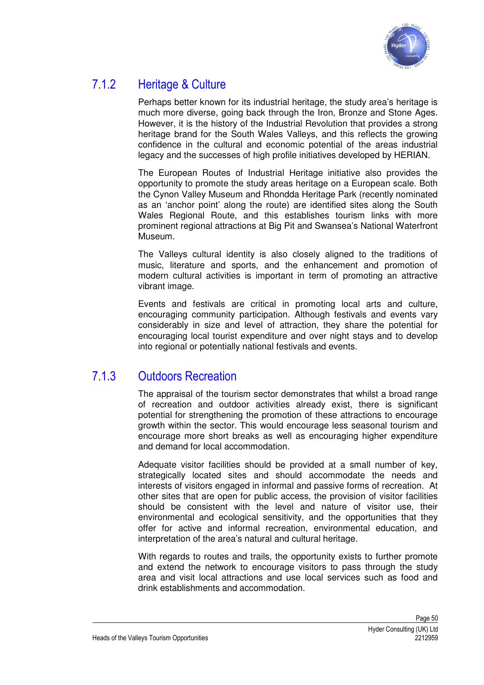

### 7.1.2 Heritage & Culture

Perhaps better known for its industrial heritage, the study area's heritage is much more diverse, going back through the Iron, Bronze and Stone Ages. However, it is the history of the Industrial Revolution that provides a strong heritage brand for the South Wales Valleys, and this reflects the growing confidence in the cultural and economic potential of the areas industrial legacy and the successes of high profile initiatives developed by HERIAN.

The European Routes of Industrial Heritage initiative also provides the opportunity to promote the study areas heritage on a European scale. Both the Cynon Valley Museum and Rhondda Heritage Park (recently nominated as an 'anchor point' along the route) are identified sites along the South Wales Regional Route, and this establishes tourism links with more prominent regional attractions at Big Pit and Swansea's National Waterfront Museum.

The Valleys cultural identity is also closely aligned to the traditions of music, literature and sports, and the enhancement and promotion of modern cultural activities is important in term of promoting an attractive vibrant image.

Events and festivals are critical in promoting local arts and culture, encouraging community participation. Although festivals and events vary considerably in size and level of attraction, they share the potential for encouraging local tourist expenditure and over night stays and to develop into regional or potentially national festivals and events.

### 7.1.3 Outdoors Recreation

The appraisal of the tourism sector demonstrates that whilst a broad range of recreation and outdoor activities already exist, there is significant potential for strengthening the promotion of these attractions to encourage growth within the sector. This would encourage less seasonal tourism and encourage more short breaks as well as encouraging higher expenditure and demand for local accommodation.

Adequate visitor facilities should be provided at a small number of key, strategically located sites and should accommodate the needs and interests of visitors engaged in informal and passive forms of recreation. At other sites that are open for public access, the provision of visitor facilities should be consistent with the level and nature of visitor use, their environmental and ecological sensitivity, and the opportunities that they offer for active and informal recreation, environmental education, and interpretation of the area's natural and cultural heritage.

With regards to routes and trails, the opportunity exists to further promote and extend the network to encourage visitors to pass through the study area and visit local attractions and use local services such as food and drink establishments and accommodation.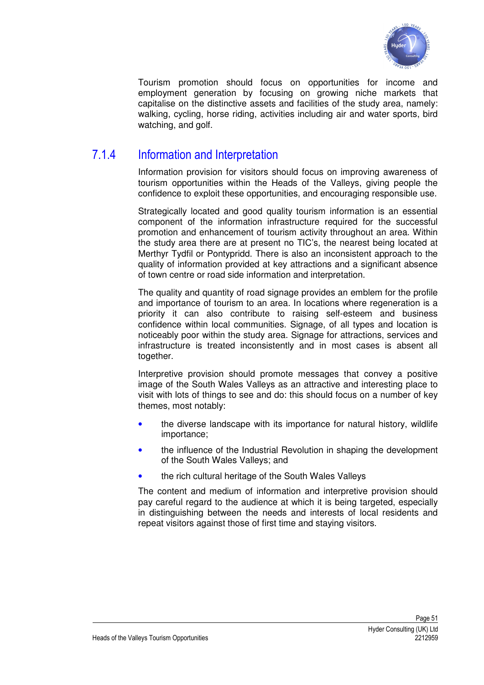

Tourism promotion should focus on opportunities for income and employment generation by focusing on growing niche markets that capitalise on the distinctive assets and facilities of the study area, namely: walking, cycling, horse riding, activities including air and water sports, bird watching, and golf.

### 7.1.4 Information and Interpretation

Information provision for visitors should focus on improving awareness of tourism opportunities within the Heads of the Valleys, giving people the confidence to exploit these opportunities, and encouraging responsible use.

Strategically located and good quality tourism information is an essential component of the information infrastructure required for the successful promotion and enhancement of tourism activity throughout an area. Within the study area there are at present no TIC's, the nearest being located at Merthyr Tydfil or Pontypridd. There is also an inconsistent approach to the quality of information provided at key attractions and a significant absence of town centre or road side information and interpretation.

The quality and quantity of road signage provides an emblem for the profile and importance of tourism to an area. In locations where regeneration is a priority it can also contribute to raising self-esteem and business confidence within local communities. Signage, of all types and location is noticeably poor within the study area. Signage for attractions, services and infrastructure is treated inconsistently and in most cases is absent all together.

Interpretive provision should promote messages that convey a positive image of the South Wales Valleys as an attractive and interesting place to visit with lots of things to see and do: this should focus on a number of key themes, most notably:

- the diverse landscape with its importance for natural history, wildlife importance;
- the influence of the Industrial Revolution in shaping the development of the South Wales Valleys; and
- the rich cultural heritage of the South Wales Valleys

The content and medium of information and interpretive provision should pay careful regard to the audience at which it is being targeted, especially in distinguishing between the needs and interests of local residents and repeat visitors against those of first time and staying visitors.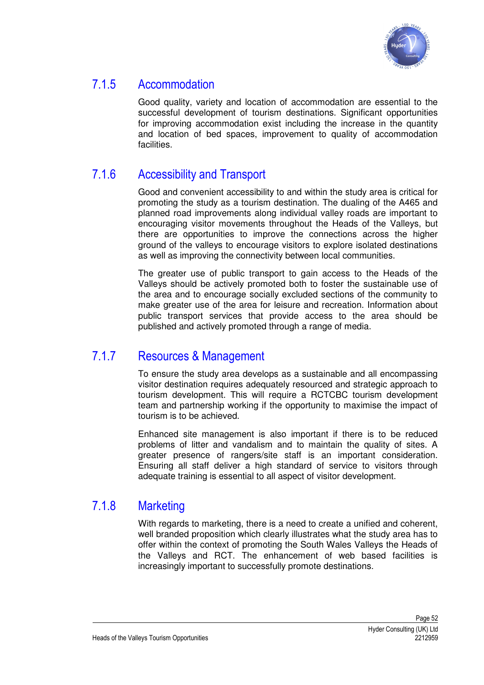

### 7.1.5 Accommodation

Good quality, variety and location of accommodation are essential to the successful development of tourism destinations. Significant opportunities for improving accommodation exist including the increase in the quantity and location of bed spaces, improvement to quality of accommodation facilities.

### 7.1.6 Accessibility and Transport

Good and convenient accessibility to and within the study area is critical for promoting the study as a tourism destination. The dualing of the A465 and planned road improvements along individual valley roads are important to encouraging visitor movements throughout the Heads of the Valleys, but there are opportunities to improve the connections across the higher ground of the valleys to encourage visitors to explore isolated destinations as well as improving the connectivity between local communities.

The greater use of public transport to gain access to the Heads of the Valleys should be actively promoted both to foster the sustainable use of the area and to encourage socially excluded sections of the community to make greater use of the area for leisure and recreation. Information about public transport services that provide access to the area should be published and actively promoted through a range of media.

### 7.1.7 Resources & Management

To ensure the study area develops as a sustainable and all encompassing visitor destination requires adequately resourced and strategic approach to tourism development. This will require a RCTCBC tourism development team and partnership working if the opportunity to maximise the impact of tourism is to be achieved.

Enhanced site management is also important if there is to be reduced problems of litter and vandalism and to maintain the quality of sites. A greater presence of rangers/site staff is an important consideration. Ensuring all staff deliver a high standard of service to visitors through adequate training is essential to all aspect of visitor development.

### 7.1.8 Marketing

With regards to marketing, there is a need to create a unified and coherent, well branded proposition which clearly illustrates what the study area has to offer within the context of promoting the South Wales Valleys the Heads of the Valleys and RCT. The enhancement of web based facilities is increasingly important to successfully promote destinations.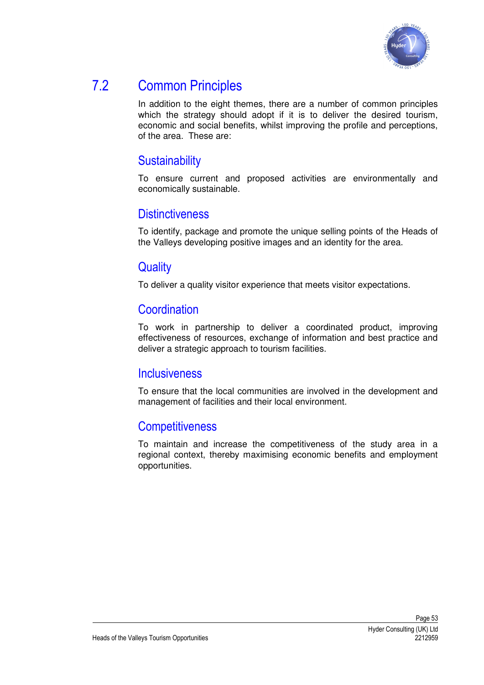

### 7.2 Common Principles

In addition to the eight themes, there are a number of common principles which the strategy should adopt if it is to deliver the desired tourism, economic and social benefits, whilst improving the profile and perceptions, of the area. These are:

### **Sustainability**

To ensure current and proposed activities are environmentally and economically sustainable.

### **Distinctiveness**

To identify, package and promote the unique selling points of the Heads of the Valleys developing positive images and an identity for the area.

### **Quality**

To deliver a quality visitor experience that meets visitor expectations.

### Coordination

To work in partnership to deliver a coordinated product, improving effectiveness of resources, exchange of information and best practice and deliver a strategic approach to tourism facilities.

#### **Inclusiveness**

To ensure that the local communities are involved in the development and management of facilities and their local environment.

### **Competitiveness**

To maintain and increase the competitiveness of the study area in a regional context, thereby maximising economic benefits and employment opportunities.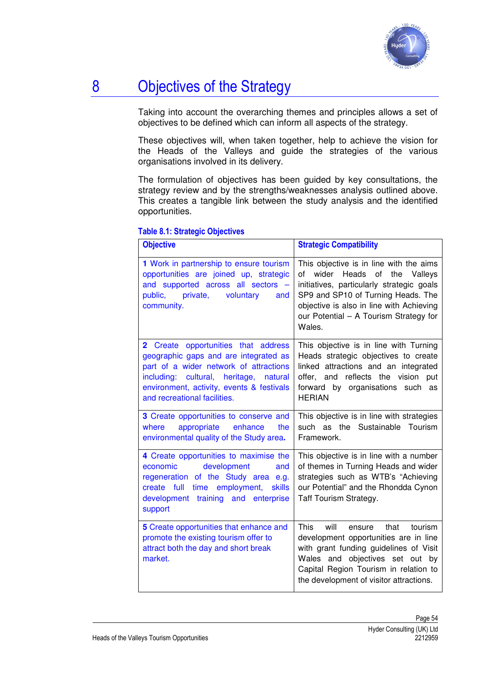

## 8 Objectives of the Strategy

Taking into account the overarching themes and principles allows a set of objectives to be defined which can inform all aspects of the strategy.

These objectives will, when taken together, help to achieve the vision for the Heads of the Valleys and guide the strategies of the various organisations involved in its delivery.

The formulation of objectives has been guided by key consultations, the strategy review and by the strengths/weaknesses analysis outlined above. This creates a tangible link between the study analysis and the identified opportunities.

| <b>Objective</b>                                                                                                                                                                                                                                    | <b>Strategic Compatibility</b>                                                                                                                                                                                                                                          |
|-----------------------------------------------------------------------------------------------------------------------------------------------------------------------------------------------------------------------------------------------------|-------------------------------------------------------------------------------------------------------------------------------------------------------------------------------------------------------------------------------------------------------------------------|
| 1 Work in partnership to ensure tourism<br>opportunities are joined up, strategic<br>and supported across all sectors -<br>public, private,<br>voluntary<br>and<br>community.                                                                       | This objective is in line with the aims<br>wider Heads<br>of<br>the<br>Valleys<br>οf<br>initiatives, particularly strategic goals<br>SP9 and SP10 of Turning Heads. The<br>objective is also in line with Achieving<br>our Potential - A Tourism Strategy for<br>Wales. |
| opportunities that address<br>2 Create<br>geographic gaps and are integrated as<br>part of a wider network of attractions<br>including: cultural, heritage,<br>natural<br>environment, activity, events & festivals<br>and recreational facilities. | This objective is in line with Turning<br>Heads strategic objectives to create<br>linked attractions and an integrated<br>offer, and reflects the vision<br>put<br>forward by organisations such<br>as<br><b>HERIAN</b>                                                 |
| 3 Create opportunities to conserve and<br>appropriate<br>enhance<br>where<br>the<br>environmental quality of the Study area.                                                                                                                        | This objective is in line with strategies<br>such as the Sustainable Tourism<br>Framework.                                                                                                                                                                              |
| 4 Create opportunities to maximise the<br>development<br>economic<br>and<br>regeneration of the Study area e.g.<br>full<br>time employment,<br><b>skills</b><br>create<br>development training and enterprise<br>support                            | This objective is in line with a number<br>of themes in Turning Heads and wider<br>strategies such as WTB's "Achieving<br>our Potential" and the Rhondda Cynon<br>Taff Tourism Strategy.                                                                                |
| 5 Create opportunities that enhance and<br>promote the existing tourism offer to<br>attract both the day and short break<br>market.                                                                                                                 | <b>This</b><br>will<br>tourism<br>that<br>ensure<br>development opportunities are in line<br>with grant funding guidelines of Visit<br>and objectives set out by<br>Wales<br>Capital Region Tourism in relation to<br>the development of visitor attractions.           |

#### Table 8.1: Strategic Objectives